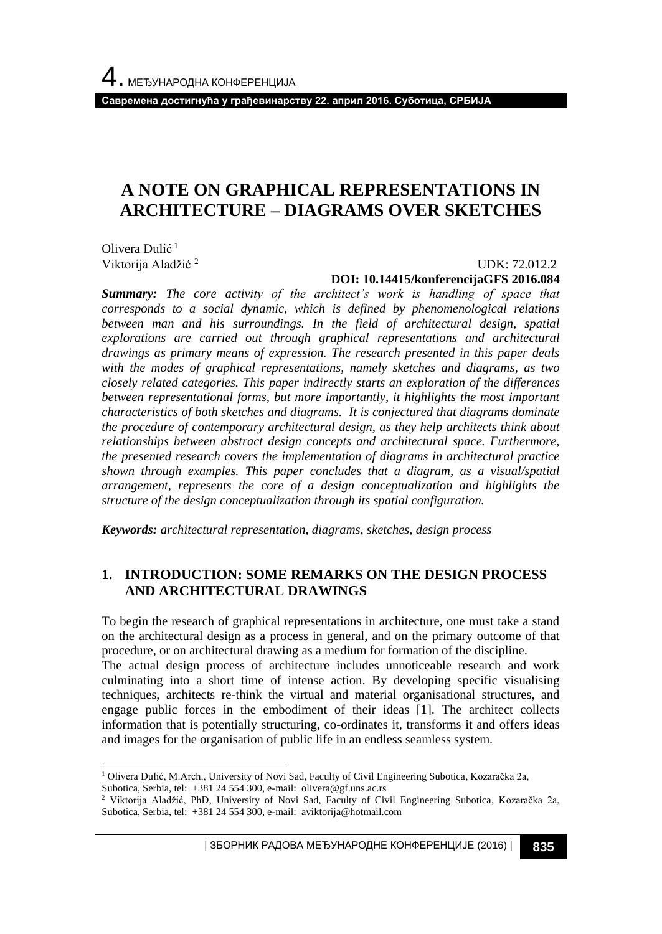**Савремена достигнућа у грађевинарству 22. април 2016. Суботица, СРБИЈА**

# **A NOTE ON GRAPHICAL REPRESENTATIONS IN ARCHITECTURE – DIAGRAMS OVER SKETCHES**

Olivera Dulić<sup>1</sup> Viktorija Aladžić <sup>2</sup>

#### UDK: 72.012.2 **DOI: 10.14415/konferencijaGFS 2016.084**

*Summary: The core activity of the architect's work is handling of space that corresponds to a social dynamic, which is defined by phenomenological relations between man and his surroundings. In the field of architectural design, spatial explorations are carried out through graphical representations and architectural drawings as primary means of expression. The research presented in this paper deals with the modes of graphical representations, namely sketches and diagrams, as two closely related categories. This paper indirectly starts an exploration of the differences between representational forms, but more importantly, it highlights the most important characteristics of both sketches and diagrams. It is conjectured that diagrams dominate the procedure of contemporary architectural design, as they help architects think about relationships between abstract design concepts and architectural space. Furthermore, the presented research covers the implementation of diagrams in architectural practice shown through examples. This paper concludes that a diagram, as a visual/spatial arrangement, represents the core of a design conceptualization and highlights the structure of the design conceptualization through its spatial configuration.*

*Keywords: architectural representation, diagrams, sketches, design process* 

### **1. INTRODUCTION: SOME REMARKS ON THE DESIGN PROCESS AND ARCHITECTURAL DRAWINGS**

To begin the research of graphical representations in architecture, one must take a stand on the architectural design as a process in general, and on the primary outcome of that procedure, or on architectural drawing as a medium for formation of the discipline. The actual design process of architecture includes unnoticeable research and work culminating into a short time of intense action. By developing specific visualising techniques, architects re-think the virtual and material organisational structures, and engage public forces in the embodiment of their ideas [1]. The architect collects information that is potentially structuring, co-ordinates it, transforms it and offers ideas and images for the organisation of public life in an endless seamless system.

l <sup>1</sup> Olivera Dulić, M.Arch., University of Novi Sad, Faculty of Civil Engineering Subotica, Kozaračka 2a, Subotica, Serbia, tel: +381 24 554 300, e-mail: olivera@gf.uns.ac.rs

<sup>2</sup> Viktorija Aladžić, PhD, University of Novi Sad, Faculty of Civil Engineering Subotica, Kozaračka 2a, Subotica, Serbia, tel: +381 24 554 300, e-mail: aviktorija@hotmail.com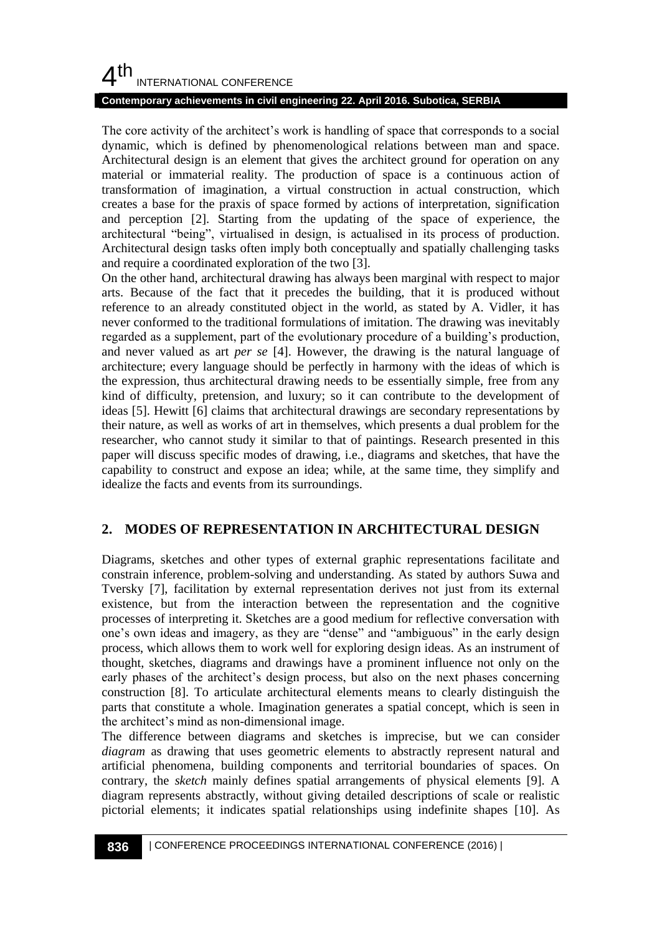#### **Contemporary achievements in civil engineering 22. April 2016. Subotica, SERBIA**

The core activity of the architect's work is handling of space that corresponds to a social dynamic, which is defined by phenomenological relations between man and space. Architectural design is an element that gives the architect ground for operation on any material or immaterial reality. The production of space is a continuous action of transformation of imagination, a virtual construction in actual construction, which creates a base for the praxis of space formed by actions of interpretation, signification and perception [2]. Starting from the updating of the space of experience, the architectural "being", virtualised in design, is actualised in its process of production. Architectural design tasks often imply both conceptually and spatially challenging tasks and require a coordinated exploration of the two [3].

On the other hand, architectural drawing has always been marginal with respect to major arts. Because of the fact that it precedes the building, that it is produced without reference to an already constituted object in the world, as stated by A. Vidler, it has never conformed to the traditional formulations of imitation. The drawing was inevitably regarded as a supplement, part of the evolutionary procedure of a building's production, and never valued as art *per se* [4]. However, the drawing is the natural language of architecture; every language should be perfectly in harmony with the ideas of which is the expression, thus architectural drawing needs to be essentially simple, free from any kind of difficulty, pretension, and luxury; so it can contribute to the development of ideas [5]. Hewitt [6] claims that architectural drawings are secondary representations by their nature, as well as works of art in themselves, which presents a dual problem for the researcher, who cannot study it similar to that of paintings. Research presented in this paper will discuss specific modes of drawing, i.e., diagrams and sketches, that have the capability to construct and expose an idea; while, at the same time, they simplify and idealize the facts and events from its surroundings.

## **2. MODES OF REPRESENTATION IN ARCHITECTURAL DESIGN**

Diagrams, sketches and other types of external graphic representations facilitate and constrain inference, problem-solving and understanding. As stated by authors Suwa and Tversky [7], facilitation by external representation derives not just from its external existence, but from the interaction between the representation and the cognitive processes of interpreting it. Sketches are a good medium for reflective conversation with one's own ideas and imagery, as they are "dense" and "ambiguous" in the early design process, which allows them to work well for exploring design ideas. As an instrument of thought, sketches, diagrams and drawings have a prominent influence not only on the early phases of the architect's design process, but also on the next phases concerning construction [8]. To articulate architectural elements means to clearly distinguish the parts that constitute a whole. Imagination generates a spatial concept, which is seen in the architect's mind as non-dimensional image.

The difference between diagrams and sketches is imprecise, but we can consider *diagram* as drawing that uses geometric elements to abstractly represent natural and artificial phenomena, building components and territorial boundaries of spaces. On contrary, the *sketch* mainly defines spatial arrangements of physical elements [9]. A diagram represents abstractly, without giving detailed descriptions of scale or realistic pictorial elements; it indicates spatial relationships using indefinite shapes [10]. As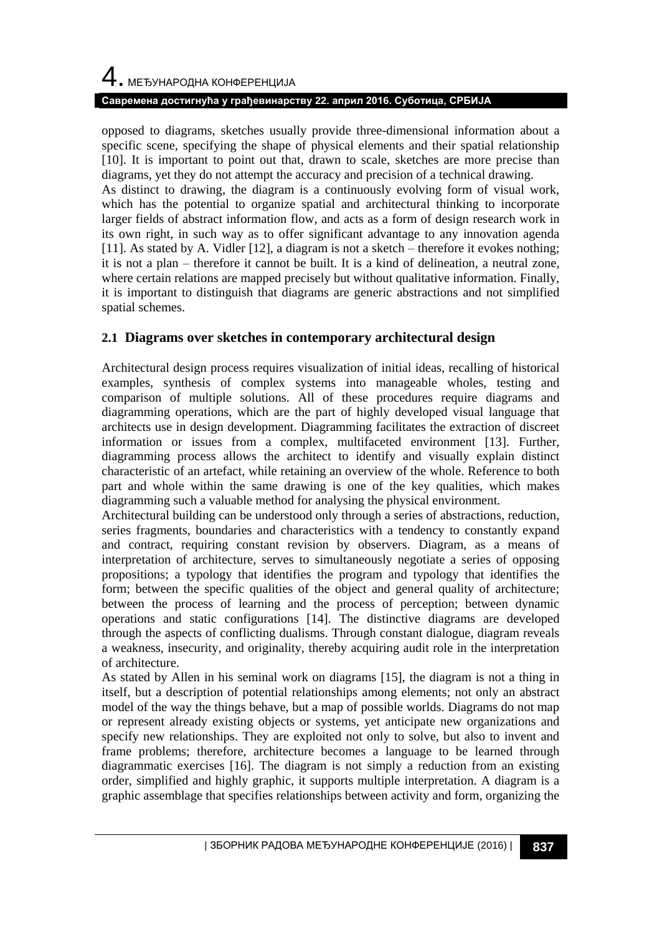#### **Савремена достигнућа у грађевинарству 22. април 2016. Суботица, СРБИЈА**

opposed to diagrams, sketches usually provide three-dimensional information about a specific scene, specifying the shape of physical elements and their spatial relationship [10]. It is important to point out that, drawn to scale, sketches are more precise than diagrams, yet they do not attempt the accuracy and precision of a technical drawing.

As distinct to drawing, the diagram is a continuously evolving form of visual work, which has the potential to organize spatial and architectural thinking to incorporate larger fields of abstract information flow, and acts as a form of design research work in its own right, in such way as to offer significant advantage to any innovation agenda [11]. As stated by A. Vidler [12], a diagram is not a sketch – therefore it evokes nothing; it is not a plan – therefore it cannot be built. It is a kind of delineation, a neutral zone, where certain relations are mapped precisely but without qualitative information. Finally, it is important to distinguish that diagrams are generic abstractions and not simplified spatial schemes.

### **2.1 Diagrams over sketches in contemporary architectural design**

Architectural design process requires visualization of initial ideas, recalling of historical examples, synthesis of complex systems into manageable wholes, testing and comparison of multiple solutions. All of these procedures require diagrams and diagramming operations, which are the part of highly developed visual language that architects use in design development. Diagramming facilitates the extraction of discreet information or issues from a complex, multifaceted environment [13]. Further, diagramming process allows the architect to identify and visually explain distinct characteristic of an artefact, while retaining an overview of the whole. Reference to both part and whole within the same drawing is one of the key qualities, which makes diagramming such a valuable method for analysing the physical environment.

Architectural building can be understood only through a series of abstractions, reduction, series fragments, boundaries and characteristics with a tendency to constantly expand and contract, requiring constant revision by observers. Diagram, as a means of interpretation of architecture, serves to simultaneously negotiate a series of opposing propositions; a typology that identifies the program and typology that identifies the form; between the specific qualities of the object and general quality of architecture; between the process of learning and the process of perception; between dynamic operations and static configurations [14]. The distinctive diagrams are developed through the aspects of conflicting dualisms. Through constant dialogue, diagram reveals a weakness, insecurity, and originality, thereby acquiring audit role in the interpretation of architecture.

As stated by Allen in his seminal work on diagrams [15], the diagram is not a thing in itself, but a description of potential relationships among elements; not only an abstract model of the way the things behave, but a map of possible worlds. Diagrams do not map or represent already existing objects or systems, yet anticipate new organizations and specify new relationships. They are exploited not only to solve, but also to invent and frame problems; therefore, architecture becomes a language to be learned through diagrammatic exercises [16]. The diagram is not simply a reduction from an existing order, simplified and highly graphic, it supports multiple interpretation. A diagram is a graphic assemblage that specifies relationships between activity and form, organizing the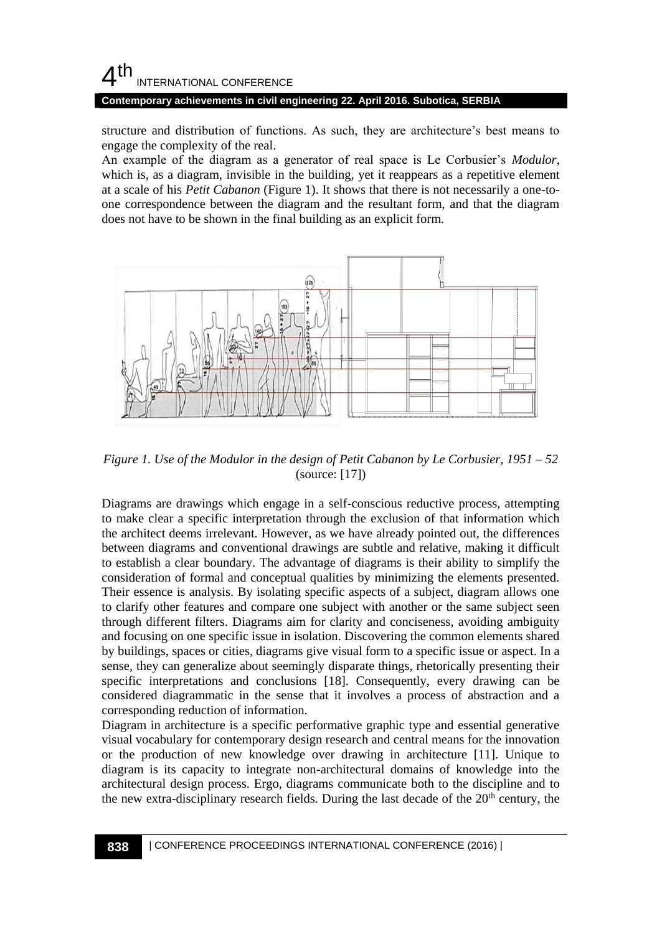#### **Contemporary achievements in civil engineering 22. April 2016. Subotica, SERBIA**

structure and distribution of functions. As such, they are architecture's best means to engage the complexity of the real.

An example of the diagram as a generator of real space is Le Corbusier's *Modulor*, which is, as a diagram, invisible in the building, yet it reappears as a repetitive element at a scale of his *Petit Cabanon* (Figure 1). It shows that there is not necessarily a one-toone correspondence between the diagram and the resultant form, and that the diagram does not have to be shown in the final building as an explicit form.



*Figure 1. Use of the Modulor in the design of Petit Cabanon by Le Corbusier, 1951 – 52* (source: [17])

Diagrams are drawings which engage in a self-conscious reductive process, attempting to make clear a specific interpretation through the exclusion of that information which the architect deems irrelevant. However, as we have already pointed out, the differences between diagrams and conventional drawings are subtle and relative, making it difficult to establish a clear boundary. The advantage of diagrams is their ability to simplify the consideration of formal and conceptual qualities by minimizing the elements presented. Their essence is analysis. By isolating specific aspects of a subject, diagram allows one to clarify other features and compare one subject with another or the same subject seen through different filters. Diagrams aim for clarity and conciseness, avoiding ambiguity and focusing on one specific issue in isolation. Discovering the common elements shared by buildings, spaces or cities, diagrams give visual form to a specific issue or aspect. In a sense, they can generalize about seemingly disparate things, rhetorically presenting their specific interpretations and conclusions [18]. Consequently, every drawing can be considered diagrammatic in the sense that it involves a process of abstraction and a corresponding reduction of information.

Diagram in architecture is a specific performative graphic type and essential generative visual vocabulary for contemporary design research and central means for the innovation or the production of new knowledge over drawing in architecture [11]. Unique to diagram is its capacity to integrate non-architectural domains of knowledge into the architectural design process. Ergo, diagrams communicate both to the discipline and to the new extra-disciplinary research fields. During the last decade of the  $20<sup>th</sup>$  century, the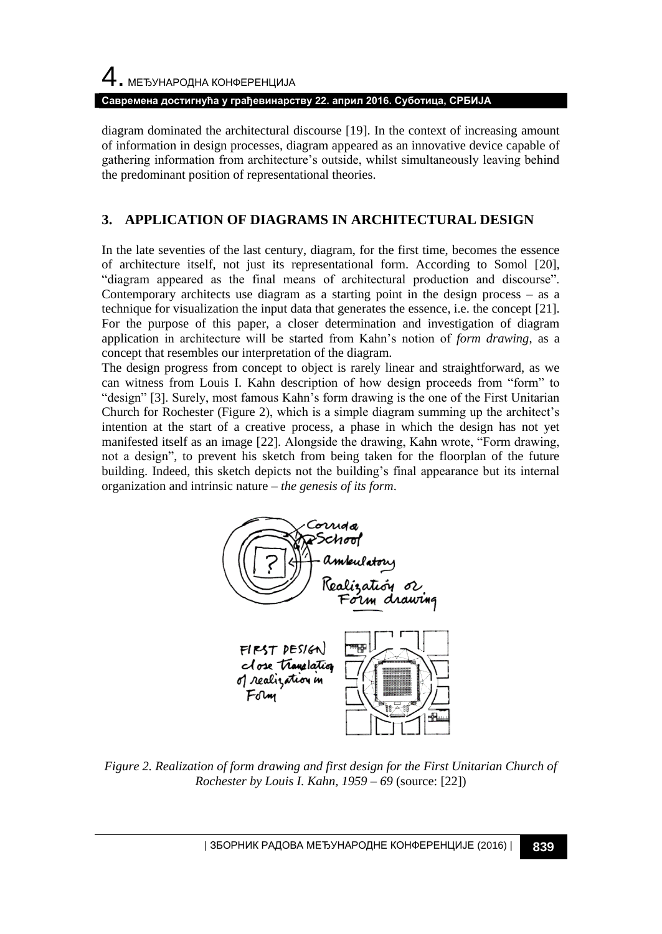4. МЕЂУНАРОДНА КОНФЕРЕНЦИЈА

**Савремена достигнућа у грађевинарству 22. април 2016. Суботица, СРБИЈА**

diagram dominated the architectural discourse [19]. In the context of increasing amount of information in design processes, diagram appeared as an innovative device capable of gathering information from architecture's outside, whilst simultaneously leaving behind the predominant position of representational theories.

## **3. APPLICATION OF DIAGRAMS IN ARCHITECTURAL DESIGN**

In the late seventies of the last century, diagram, for the first time, becomes the essence of architecture itself, not just its representational form. According to Somol [20], "diagram appeared as the final means of architectural production and discourse". Contemporary architects use diagram as a starting point in the design process  $-$  as a technique for visualization the input data that generates the essence, i.e. the concept [21]. For the purpose of this paper, a closer determination and investigation of diagram application in architecture will be started from Kahn's notion of *form drawing*, as a concept that resembles our interpretation of the diagram.

The design progress from concept to object is rarely linear and straightforward, as we can witness from Louis I. Kahn description of how design proceeds from "form" to "design" [3]. Surely, most famous Kahn's form drawing is the one of the First Unitarian Church for Rochester (Figure 2), which is a simple diagram summing up the architect's intention at the start of a creative process, a phase in which the design has not yet manifested itself as an image [22]. Alongside the drawing, Kahn wrote, "Form drawing, not a design", to prevent his sketch from being taken for the floorplan of the future building. Indeed, this sketch depicts not the building's final appearance but its internal organization and intrinsic nature – *the genesis of its form*.



*Figure 2. Realization of form drawing and first design for the First Unitarian Church of Rochester by Louis I. Kahn, 1959 – 69* (source: [22])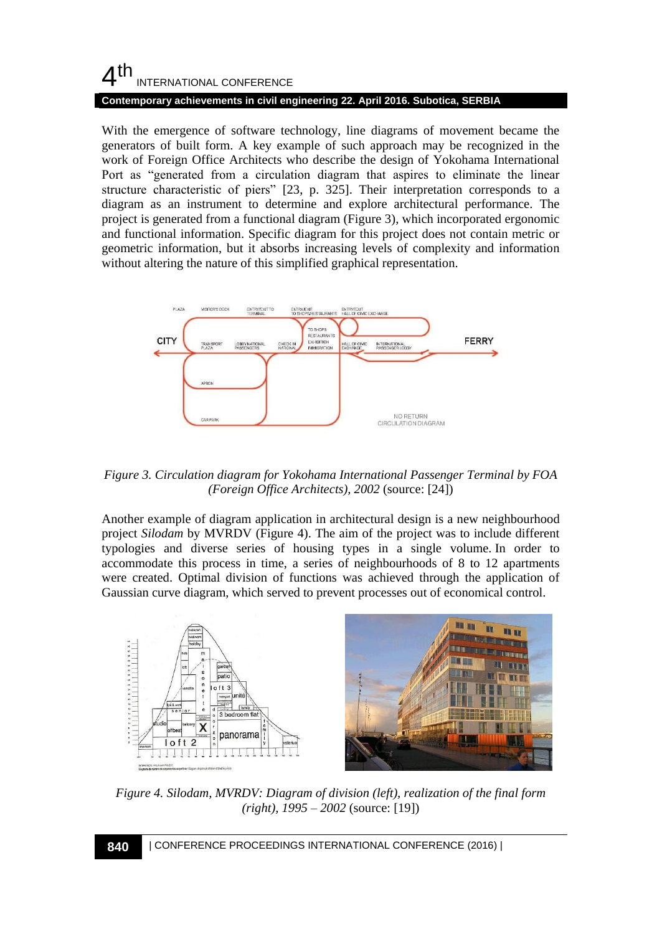#### $4<sup>th</sup>$ INTERNATIONAL CONFERENCE **Contemporary achievements in civil engineering 22. April 2016. Subotica, SERBIA**

With the emergence of software technology, line diagrams of movement became the generators of built form. A key example of such approach may be recognized in the work of Foreign Office Architects who describe the design of Yokohama International Port as "generated from a circulation diagram that aspires to eliminate the linear structure characteristic of piers" [23, p. 325]. Their interpretation corresponds to a diagram as an instrument to determine and explore architectural performance. The project is generated from a functional diagram (Figure 3), which incorporated ergonomic and functional information. Specific diagram for this project does not contain metric or geometric information, but it absorbs increasing levels of complexity and information without altering the nature of this simplified graphical representation.



*Figure 3. Circulation diagram for Yokohama International Passenger Terminal by FOA (Foreign Office Architects), 2002* (source: [24])

Another example of diagram application in architectural design is a new neighbourhood project *Silodam* by MVRDV (Figure 4). The aim of the project was to include different typologies and diverse series of housing types in a single volume. In order to accommodate this process in time, a series of neighbourhoods of 8 to 12 apartments were created. Optimal division of functions was achieved through the application of Gaussian curve diagram, which served to prevent processes out of economical control.



*Figure 4. Silodam, MVRDV: Diagram of division (left), realization of the final form (right), 1995 – 2002* (source: [19])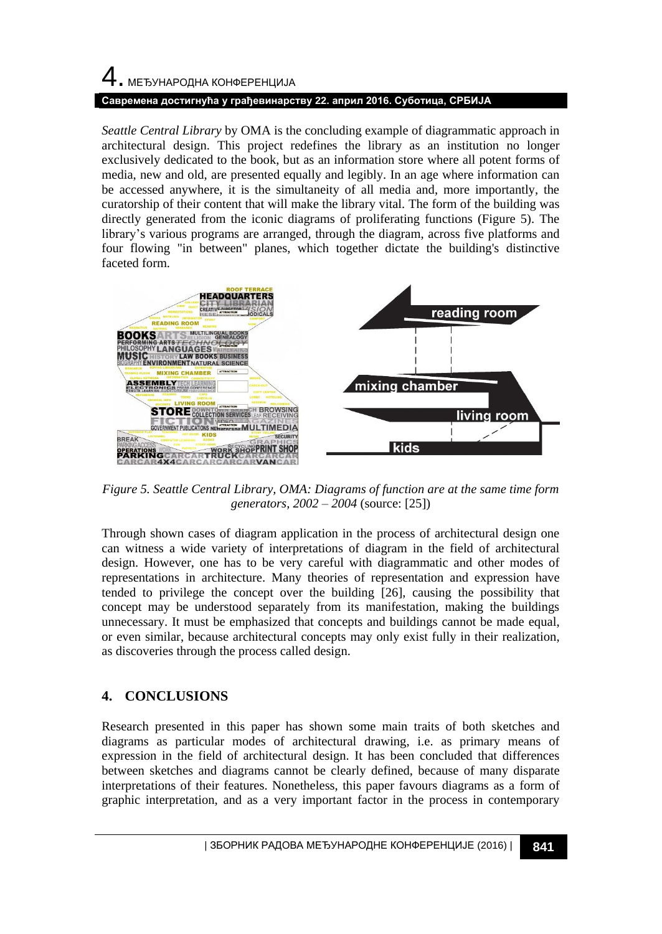# 4. МЕЂУНАРОДНА КОНФЕРЕНЦИЈА **Савремена достигнућа у грађевинарству 22. април 2016. Суботица, СРБИЈА**

*Seattle Central Library* by OMA is the concluding example of diagrammatic approach in architectural design. This project redefines the library as an institution no longer exclusively dedicated to the book, but as an information store where all potent forms of media, new and old, are presented equally and legibly. In an age where information can be accessed anywhere, it is the simultaneity of all media and, more importantly, the curatorship of their content that will make the library vital. The form of the building was directly generated from the iconic diagrams of proliferating functions (Figure 5). The library's various programs are arranged, through the diagram, across five platforms and four flowing "in between" planes, which together dictate the building's distinctive faceted form.



*Figure 5. Seattle Central Library, OMA: Diagrams of function are at the same time form generators, 2002 – 2004* (source: [25])

Through shown cases of diagram application in the process of architectural design one can witness a wide variety of interpretations of diagram in the field of architectural design. However, one has to be very careful with diagrammatic and other modes of representations in architecture. Many theories of representation and expression have tended to privilege the concept over the building [26], causing the possibility that concept may be understood separately from its manifestation, making the buildings unnecessary. It must be emphasized that concepts and buildings cannot be made equal, or even similar, because architectural concepts may only exist fully in their realization, as discoveries through the process called design.

## **4. CONCLUSIONS**

Research presented in this paper has shown some main traits of both sketches and diagrams as particular modes of architectural drawing, i.e. as primary means of expression in the field of architectural design. It has been concluded that differences between sketches and diagrams cannot be clearly defined, because of many disparate interpretations of their features. Nonetheless, this paper favours diagrams as a form of graphic interpretation, and as a very important factor in the process in contemporary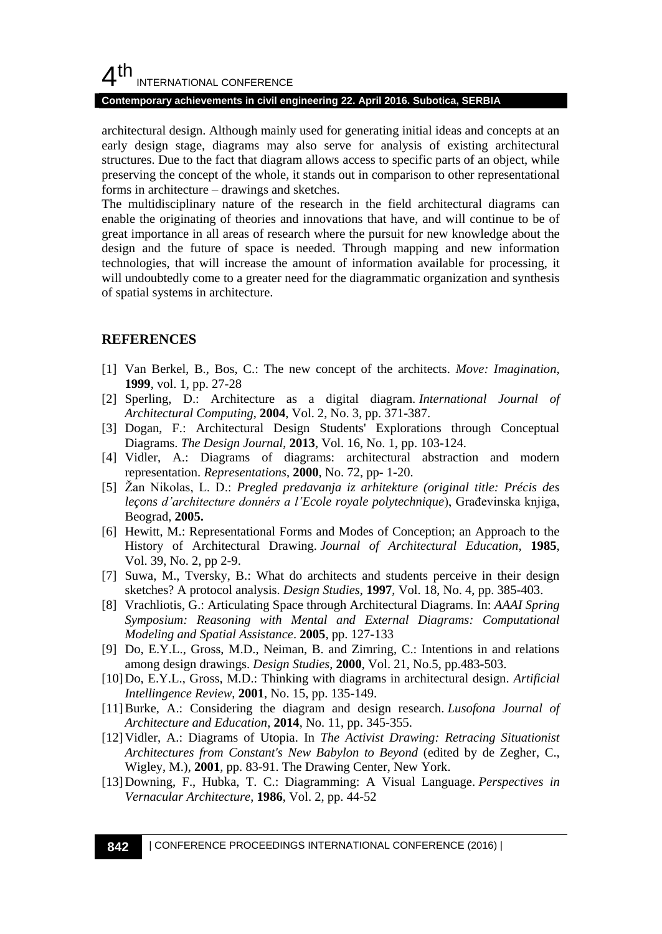#### **Contemporary achievements in civil engineering 22. April 2016. Subotica, SERBIA**

architectural design. Although mainly used for generating initial ideas and concepts at an early design stage, diagrams may also serve for analysis of existing architectural structures. Due to the fact that diagram allows access to specific parts of an object, while preserving the concept of the whole, it stands out in comparison to other representational forms in architecture – drawings and sketches.

The multidisciplinary nature of the research in the field architectural diagrams can enable the originating of theories and innovations that have, and will continue to be of great importance in all areas of research where the pursuit for new knowledge about the design and the future of space is needed. Through mapping and new information technologies, that will increase the amount of information available for processing, it will undoubtedly come to a greater need for the diagrammatic organization and synthesis of spatial systems in architecture.

#### **REFERENCES**

- [1] Van Berkel, B., Bos, C.: The new concept of the architects. *Move: Imagination*, **1999**, vol. 1, pp. 27-28
- [2] Sperling, D.: Architecture as a digital diagram. *International Journal of Architectural Computing*, **2004**, Vol. 2, No. 3, pp. 371-387.
- [3] Dogan, F.: Architectural Design Students' Explorations through Conceptual Diagrams. *The Design Journal*, **2013**, Vol. 16, No. 1, pp. 103-124.
- [4] Vidler, A.: Diagrams of diagrams: architectural abstraction and modern representation. *Representations*, **2000**, No. 72, pp- 1-20.
- [5] Žan Nikolas, L. D.: *Pregled predavanja iz arhitekture (original title: Précis des leçons d'architecture donnérs a l'Ecole royale polytechnique*), Građevinska knjiga, Beograd, **2005.**
- [6] Hewitt, M.: Representational Forms and Modes of Conception; an Approach to the History of Architectural Drawing. *Journal of Architectural Education*, **1985**, Vol. 39, No. 2, pp 2-9.
- [7] Suwa, M., Tversky, B.: What do architects and students perceive in their design sketches? A protocol analysis. *Design Studies*, **1997**, Vol. 18, No. 4, pp. 385-403.
- [8] Vrachliotis, G.: Articulating Space through Architectural Diagrams. In: *AAAI Spring Symposium: Reasoning with Mental and External Diagrams: Computational Modeling and Spatial Assistance*. **2005**, pp. 127-133
- [9] Do, E.Y.L., Gross, M.D., Neiman, B. and Zimring, C.: Intentions in and relations among design drawings. *Design Studies*, **2000**, Vol. 21, No.5, pp.483-503.
- [10]Do, E.Y.L., Gross, M.D.: Thinking with diagrams in architectural design. *Artificial Intellingence Review*, **2001**, No. 15, pp. 135-149.
- [11]Burke, A.: Considering the diagram and design research. *Lusofona Journal of Architecture and Education*, **2014**, No. 11, pp. 345-355.
- [12]Vidler, A.: Diagrams of Utopia. In *The Activist Drawing: Retracing Situationist Architectures from Constant's New Babylon to Beyond* (edited by de Zegher, C., Wigley, M.), **2001**, pp. 83-91. The Drawing Center, New York.
- [13]Downing, F., Hubka, T. C.: Diagramming: A Visual Language. *Perspectives in Vernacular Architecture*, **1986**, Vol. 2, pp. 44-52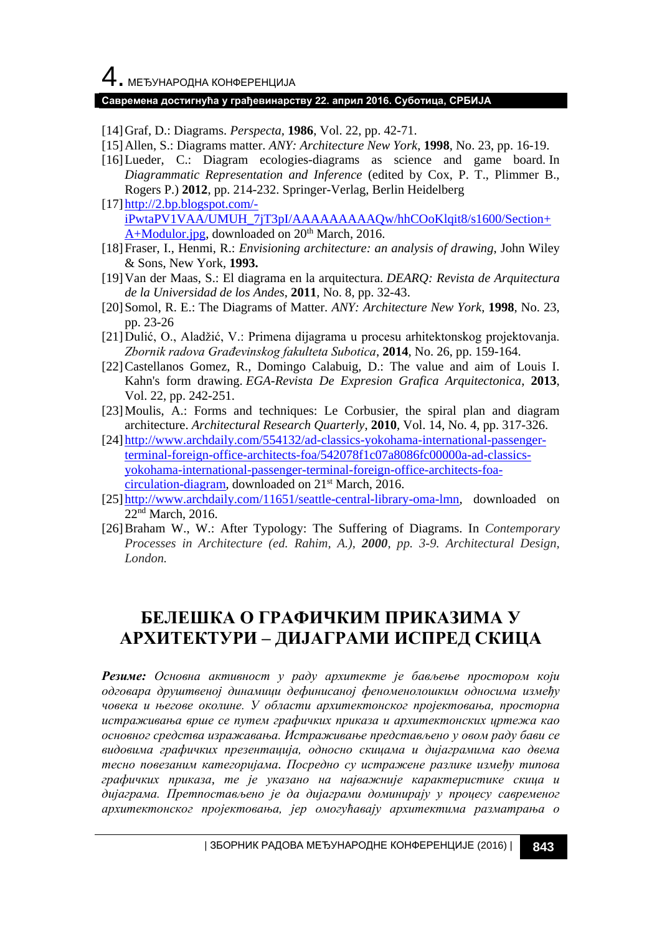# 4. МЕЂУНАРОДНА КОНФЕРЕНЦИЈА

#### **Савремена достигнућа у грађевинарству 22. април 2016. Суботица, СРБИЈА**

[14]Graf, D.: Diagrams. *Perspecta,* **1986**, Vol. 22, pp. 42-71.

- [15]Allen, S.: Diagrams matter. *ANY: Architecture New York*, **1998**, No. 23, pp. 16-19.
- [16]Lueder, C.: Diagram ecologies-diagrams as science and game board. In *Diagrammatic Representation and Inference* (edited by Cox, P. T., Plimmer B., Rogers P.) **2012**, pp. 214-232. Springer-Verlag, Berlin Heidelberg
- [\[17\]http://2.bp.blogspot.com/](http://2.bp.blogspot.com/-iPwtaPV1VAA/UMUH_7jT3pI/AAAAAAAAAQw/hhCOoKlqit8/s1600/Section+A+Modulor.jpg) [iPwtaPV1VAA/UMUH\\_7jT3pI/AAAAAAAAAQw/hhCOoKlqit8/s1600/Section+](http://2.bp.blogspot.com/-iPwtaPV1VAA/UMUH_7jT3pI/AAAAAAAAAQw/hhCOoKlqit8/s1600/Section+A+Modulor.jpg) [A+Modulor.jpg,](http://2.bp.blogspot.com/-iPwtaPV1VAA/UMUH_7jT3pI/AAAAAAAAAQw/hhCOoKlqit8/s1600/Section+A+Modulor.jpg) downloaded on 20<sup>th</sup> March, 2016.
- [18]Fraser, I., Henmi, R.: *Envisioning architecture: an analysis of drawing*, John Wiley & Sons, New York, **1993.**
- [19]Van der Maas, S.: El diagrama en la arquitectura. *DEARQ: Revista de Arquitectura de la Universidad de los Andes*, **2011**, No. 8, pp. 32-43.
- [20]Somol, R. E.: The Diagrams of Matter. *ANY: Architecture New York*, **1998**, No. 23, pp. 23-26
- [21]Dulić, O., Aladžić, V.: Primena dijagrama u procesu arhitektonskog projektovanja. *Zbornik radova Građevinskog fakulteta Subotica*, **2014**, No. 26, pp. 159-164.
- [22]Castellanos Gomez, R., Domingo Calabuig, D.: The value and aim of Louis I. Kahn's form drawing. *EGA-Revista De Expresion Grafica Arquitectonica*, **2013**, Vol. 22, pp. 242-251.
- [23]Moulis, A.: Forms and techniques: Le Corbusier, the spiral plan and diagram architecture. *Architectural Research Quarterly*, **2010**, Vol. 14, No. 4, pp. 317-326.
- [\[24\]http://www.archdaily.com/554132/ad-classics-yokohama-international-passenger](http://www.archdaily.com/554132/ad-classics-yokohama-international-passenger-terminal-foreign-office-architects-foa/542078f1c07a8086fc00000a-ad-classics-yokohama-international-passenger-terminal-foreign-office-architects-foa-circulation-diagram)[terminal-foreign-office-architects-foa/542078f1c07a8086fc00000a-ad-classics](http://www.archdaily.com/554132/ad-classics-yokohama-international-passenger-terminal-foreign-office-architects-foa/542078f1c07a8086fc00000a-ad-classics-yokohama-international-passenger-terminal-foreign-office-architects-foa-circulation-diagram)[yokohama-international-passenger-terminal-foreign-office-architects-foa](http://www.archdaily.com/554132/ad-classics-yokohama-international-passenger-terminal-foreign-office-architects-foa/542078f1c07a8086fc00000a-ad-classics-yokohama-international-passenger-terminal-foreign-office-architects-foa-circulation-diagram)[circulation-diagram,](http://www.archdaily.com/554132/ad-classics-yokohama-international-passenger-terminal-foreign-office-architects-foa/542078f1c07a8086fc00000a-ad-classics-yokohama-international-passenger-terminal-foreign-office-architects-foa-circulation-diagram) downloaded on 21st March, 2016.
- [25] http://www.archdaily.com/11651/seattle-central-library-oma-lmn, downloaded on 22<sup>nd</sup> March, 2016.
- [26]Braham W., W.: After Typology: The Suffering of Diagrams. In *Contemporary Processes in Architecture (ed. Rahim, A.), 2000, pp. 3-9. Architectural Design, London.*

## **БЕЛЕШКА О ГРАФИЧКИМ ПРИКАЗИМА У АРХИТЕКТУРИ – ДИЈАГРАМИ ИСПРЕД СКИЦА**

*Резиме: Основна активност у раду архитекте је бављење простором који одговара друштвеној динамици дефинисаној феноменолошким односима између човека и његове околине. У области архитектонског пројектовања, просторна истраживања врше се путем графичких приказа и архитектонских цртежа као основног средства изражавања. Истраживање представљено у овом раду бави се видовима графичких презентација, односно скицама и дијаграмима као двема тесно повезаним категоријама. Посредно су истражене разлике између типова графичких приказа, те је указано на најважније карактеристике скица и дијаграма. Претпостављено је да дијаграми доминирају у процесу савременог архитектонског пројектовања, јер омогућавају архитектима разматрања о*